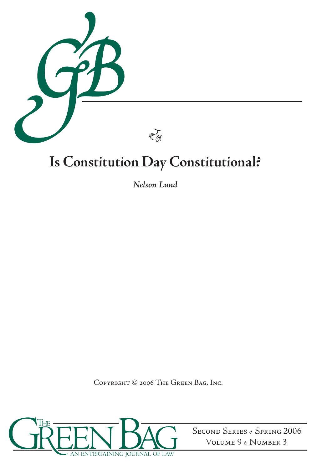

# **Is Constitution Day Constitutional?**

*Nelson Lund*

Copyright © 2006 The Green Bag, Inc.



Second Series *•* Spring 2006 Volume 9 *•* Number 3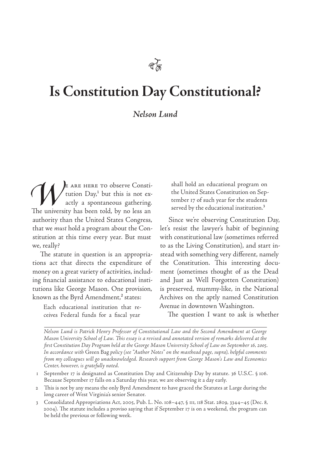# **Is Constitution Day Constitutional?**

#### *Nelson Lund*

*E* ARE HERE TO observe Constitution Day,<sup>1</sup> but this is not ex-<br>actly a spontaneous gathering.<br>The university has been told, by no less an tution  $\text{Day}^1$  but this is not exactly a spontaneous gathering. The university has been told, by no less an authority than the United States Congress, that we *must* hold a program about the Constitution at this time every year. But must we, really?

The statute in question is an appropriations act that directs the expenditure of money on a great variety of activities, including financial assistance to educational institutions like George Mason. One provision, known as the Byrd Amendment,<sup>2</sup> states:

Each educational institution that receives Federal funds for a fiscal year

shall hold an educational program on the United States Constitution on September 17 of such year for the students served by the educational institution.<sup>3</sup>

Since we're observing Constitution Day, let's resist the lawyer's habit of beginning with constitutional law (sometimes referred to as the Living Constitution), and start instead with something very different, namely the Constitution. This interesting document (sometimes thought of as the Dead and Just as Well Forgotten Constitution) is preserved, mummy-like, in the National Archives on the aptly named Constitution Avenue in downtown Washington.

The question I want to ask is whether

*Nelson Lund is Patrick Henry Professor of Constitutional Law and the Second Amendment at George Mason University School of Law. This essay is a revised and annotated version of remarks delivered at the first Constitution Day Program held at the George Mason University School of Law on September 16, 2005. In accordance with* Green Bag *policy (see "Author Notes" on the masthead page, supra), helpful comments from my colleagues will go unacknowledged. Research support from George Mason's Law and Economics Center, however, is gratefully noted.*

1 September 17 is designated as Constitution Day and Citizenship Day by statute. 36 U.S.C. § 106. Because September 17 falls on a Saturday this year, we are observing it a day early.

2 This is not by any means the only Byrd Amendment to have graced the Statutes at Large during the long career of West Virginia's senior Senator.

3 Consolidated Appropriations Act, 2005, Pub. L. No. 108–447, § 111, 118 Stat. 2809, 3344–45 (Dec. 8, 2004). The statute includes a proviso saying that if September 17 is on a weekend, the program can be held the previous or following week.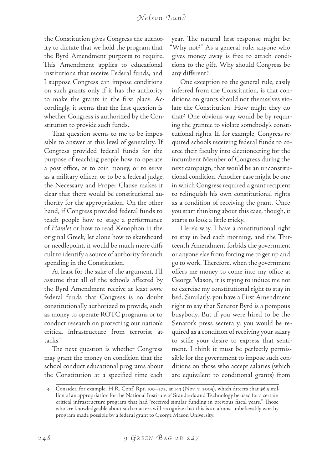## *Ne l s o n L u n d*

the Constitution gives Congress the authority to dictate that we hold the program that the Byrd Amendment purports to require. This Amendment applies to educational institutions that receive Federal funds, and I suppose Congress can impose conditions on such grants only if it has the authority to make the grants in the first place. Accordingly, it seems that the first question is whether Congress is authorized by the Constitution to provide such funds.

That question seems to me to be impossible to answer at this level of generality. If Congress provided federal funds for the purpose of teaching people how to operate a post office, or to coin money, or to serve as a military officer, or to be a federal judge, the Necessary and Proper Clause makes it clear that there would be constitutional authority for the appropriation. On the other hand, if Congress provided federal funds to teach people how to stage a performance of *Hamlet* or how to read Xenophon in the original Greek, let alone how to skateboard or needlepoint, it would be much more difficult to identify a source of authority for such spending in the Constitution.

At least for the sake of the argument, I'll assume that all of the schools affected by the Byrd Amendment receive at least *some* federal funds that Congress is no doubt constitutionally authorized to provide, such as money to operate ROTC programs or to conduct research on protecting our nation's critical infrastructure from terrorist attacks.4

The next question is whether Congress may grant the money on condition that the school conduct educational programs about the Constitution at a specified time each

year. The natural first response might be: "Why not?" As a general rule, anyone who gives money away is free to attach conditions to the gift. Why should Congress be any different?

One exception to the general rule, easily inferred from the Constitution, is that conditions on grants should not themselves violate the Constitution. How might they do that? One obvious way would be by requiring the grantee to violate somebody's constitutional rights. If, for example, Congress required schools receiving federal funds to coerce their faculty into electioneering for the incumbent Member of Congress during the next campaign, that would be an unconstitutional condition. Another case might be one in which Congress required a grant recipient to relinquish his own constitutional rights as a condition of receiving the grant. Once you start thinking about this case, though, it starts to look a little tricky.

Here's why. I have a constitutional right to stay in bed each morning, and the Thirteenth Amendment forbids the government or anyone else from forcing me to get up and go to work. Therefore, when the government offers me money to come into my office at George Mason, it is trying to induce me not to exercise my constitutional right to stay in bed. Similarly, you have a First Amendment right to say that Senator Byrd is a pompous busybody. But if you were hired to be the Senator's press secretary, you would be required as a condition of receiving your salary to stifle your desire to express that sentiment. I think it must be perfectly permissible for the government to impose such conditions on those who accept salaries (which are equivalent to conditional grants) from

<sup>4</sup> Consider, for example, H.R. Conf. Rpt. 109–272, at 143 (Nov. 7, 2005), which directs that \$6.5 million of an appropriation for the National Institute of Standards and Technology be used for a certain critical infrastructure program that had "received similar funding in previous fiscal years." Those who are knowledgeable about such matters will recognize that this is an almost unbelievably worthy program made possible by a federal grant to George Mason University.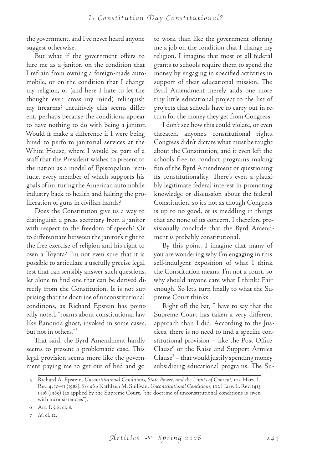the government, and I've never heard anyone suggest otherwise.

But what if the government offers to hire me as a janitor, on the condition that I refrain from owning a foreign-made automobile, or on the condition that I change my religion, or (and here I hate to let the thought even cross my mind) relinquish my firearms? Intuitively this seems different, perhaps because the conditions appear to have nothing to do with being a janitor. Would it make a difference if I were being hired to perform janitorial services at the White House, where I would be part of a staff that the President wishes to present to the nation as a model of Episcopalian rectitude, every member of which supports his goals of nurturing the American automobile industry back to health and halting the proliferation of guns in civilian hands?

Does the Constitution give us a way to distinguish a press secretary from a janitor with respect to the freedom of speech? Or to differentiate between the janitor's right to the free exercise of religion and his right to own a Toyota? I'm not even sure that it is possible to articulate a usefully precise legal test that can sensibly answer such questions, let alone to find one that can be derived directly from the Constitution. It is not surprising that the doctrine of unconstitutional conditions, as Richard Epstein has pointedly noted, "roams about constitutional law like Banquo's ghost, invoked in some cases, but not in others."5

That said, the Byrd Amendment hardly seems to present a problematic case. This legal provision seems more like the government paying me to get out of bed and go

to work than like the government offering me a job on the condition that I change my religion. I imagine that most or all federal grants to schools require them to spend the money by engaging in specified activities in support of their educational mission. The Byrd Amendment merely adds one more tiny little educational project to the list of projects that schools have to carry out in return for the money they get from Congress.

I don't see how this could violate, or even threaten, anyone's constitutional rights. Congress didn't dictate what must be taught about the Constitution, and it even left the schools free to conduct programs making fun of the Byrd Amendment or questioning its constitutionality. There's even a plausibly legitimate federal interest in promoting knowledge or discussion about the federal Constitution, so it's not as though Congress is up to no good, or is meddling in things that are none of its concern. I therefore provisionally conclude that the Byrd Amendment is probably constitutional.

By this point, I imagine that many of you are wondering why I'm engaging in this self-indulgent exposition of what I think the Constitution means. I'm not a court, so why should anyone care what I think? Fair enough. So let's turn finally to what the Supreme Court thinks.

Right off the bat, I have to say that the Supreme Court has taken a very different approach than I did. According to the Justices, there is no need to find a specific constitutional provision – like the Post Office Clause6 or the Raise and Support Armies  $Clause<sup>7</sup> – that would justify spending money$ subsidizing educational programs. The Su-

<sup>5</sup> Richard A. Epstein, *Unconstitutional Conditions, State Power, and the Limits of Consent*, 102 Harv. L. Rev. 4, 10–11 (1988). *See also* Kathleen M. Sullivan, *Unconstitutional Conditions*, 102 Harv. L. Rev. 1413, 1416 (1989) (as applied by the Supreme Court, "the doctrine of unconstitutional conditions is riven with inconsistencies").

<sup>6</sup> Art. I, § 8, cl. 8.

*<sup>7</sup> Id.* cl. 12.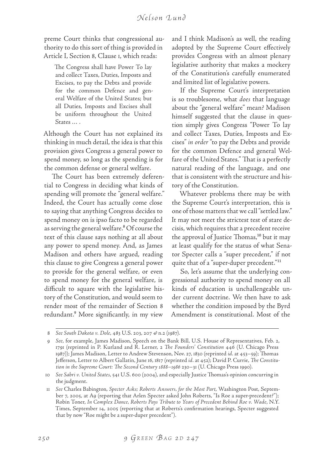preme Court thinks that congressional authority to do this sort of thing is provided in Article I, Section 8, Clause 1, which reads:

The Congress shall have Power To lay and collect Taxes, Duties, Imposts and Excises, to pay the Debts and provide for the common Defence and general Welfare of the United States; but all Duties, Imposts and Excises shall be uniform throughout the United States … .

Although the Court has not explained its thinking in much detail, the idea is that this provision gives Congress a general power to spend money, so long as the spending is for the common defense or general welfare.

The Court has been extremely deferential to Congress in deciding what kinds of spending will promote the "general welfare." Indeed, the Court has actually come close to saying that anything Congress decides to spend money on is ipso facto to be regarded as serving the general welfare.<sup>8</sup> Of course the text of this clause says nothing at all about any power to spend money. And, as James Madison and others have argued, reading this clause to give Congress a general power to provide for the general welfare, or even to spend money for the general welfare, is difficult to square with the legislative history of the Constitution, and would seem to render most of the remainder of Section 8 redundant.9 More significantly, in my view

and I think Madison's as well, the reading adopted by the Supreme Court effectively provides Congress with an almost plenary legislative authority that makes a mockery of the Constitution's carefully enumerated and limited list of legislative powers.

If the Supreme Court's interpretation is so troublesome, what *does* that language about the "general welfare" mean? Madison himself suggested that the clause in question simply gives Congress "Power To lay and collect Taxes, Duties, Imposts and Excises" *in order* "to pay the Debts and provide for the common Defence and general Welfare of the United States." That is a perfectly natural reading of the language, and one that is consistent with the structure and history of the Constitution.

Whatever problems there may be with the Supreme Court's interpretation, this is one of those matters that we call "settled law." It may not meet the strictest test of stare decisis, which requires that a precedent receive the approval of Justice Thomas,<sup>10</sup> but it may at least qualify for the status of what Senator Specter calls a "super precedent," if not quite that of a "super-duper precedent."11

So, let's assume that the underlying congressional authority to spend money on all kinds of education is unchallengeable under current doctrine. We then have to ask whether the condition imposed by the Byrd Amendment is constitutional. Most of the

<sup>8</sup> *See South Dakota v. Dole, 483 U.S. 203, 207*  $\Theta$  *n.2 (1987).* 

<sup>9</sup> *See*, for example, James Madison, Speech on the Bank Bill, U.S. House of Representatives, Feb. 2, 1791 (reprinted in P. Kurland and R. Lerner, 2 *The Founders' Constitution* 446 (U. Chicago Press 1987)); James Madison, Letter to Andrew Stevenson, Nov. 27, 1830 (reprinted *id*. at 453–59); Thomas Jefferson, Letter to Albert Gallatin, June 16, 1817 (reprinted *id*. at 452); David P. Currie, *The Constitution in the Supreme Court: The Second Century 1888–1986* 230–31 (U. Chicago Press 1990).

<sup>10</sup> *See Sabri v. United States*, 541 U.S. 600 (2004), and especially Justice Thomas's opinion concurring in the judgment.

<sup>11</sup> *See* Charles Babington, *Specter Asks; Roberts Answers, for the Most Part*, Washington Post, September 7, 2005, at A9 (reporting that Arlen Specter asked John Roberts, "Is Roe a super-precedent?"); Robin Toner, *In Complex Dance, Roberts Pays Tribute to Years of Precedent Behind Roe v. Wade*, N.Y. Times, September 14, 2005 (reporting that at Roberts's confirmation hearings, Specter suggested that by now "Roe might be a super-duper precedent").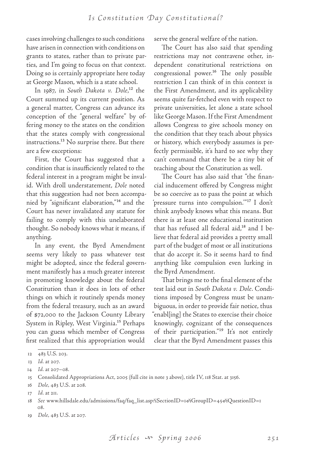cases involving challenges to such conditions have arisen in connection with conditions on grants to states, rather than to private parties, and I'm going to focus on that context. Doing so is certainly appropriate here today at George Mason, which is a state school.

In 1987, in *South Dakota v*. Dole,<sup>12</sup> the Court summed up its current position. As a general matter, Congress can advance its conception of the "general welfare" by offering money to the states on the condition that the states comply with congressional instructions.<sup>13</sup> No surprise there. But there are a few exceptions:

First, the Court has suggested that a condition that is insufficiently related to the federal interest in a program might be invalid. With droll understatement, *Dole* noted that this suggestion had not been accompanied by "significant elaboration,"14 and the Court has never invalidated any statute for failing to comply with this unelaborated thought. So nobody knows what it means, if anything.

In any event, the Byrd Amendment seems very likely to pass whatever test might be adopted, since the federal government manifestly has a much greater interest in promoting knowledge about the federal Constitution than it does in lots of other things on which it routinely spends money from the federal treasury, such as an award of \$72,000 to the Jackson County Library System in Ripley, West Virginia.15 Perhaps you can guess which member of Congress first realized that this appropriation would

serve the general welfare of the nation.

The Court has also said that spending restrictions may not contravene other, independent constitutional restrictions on congressional power.16 The only possible restriction I can think of in this context is the First Amendment, and its applicability seems quite far-fetched even with respect to private universities, let alone a state school like George Mason. If the First Amendment allows Congress to give schools money on the condition that they teach about physics or history, which everybody assumes is perfectly permissible, it's hard to see why they can't command that there be a tiny bit of teaching about the Constitution as well.

The Court has also said that "the financial inducement offered by Congress might be so coercive as to pass the point at which 'pressure turns into compulsion.'"17 I don't think anybody knows what this means. But there is at least one educational institution that has refused all federal aid,18 and I believe that federal aid provides a pretty small part of the budget of most or all institutions that do accept it. So it seems hard to find anything like compulsion even lurking in the Byrd Amendment.

That brings me to the final element of the test laid out in *South Dakota v. Dole*. Conditions imposed by Congress must be unambiguous, in order to provide fair notice, thus "enabl[ing] the States to exercise their choice knowingly, cognizant of the consequences of their participation."<sup>19</sup> It's not entirely clear that the Byrd Amendment passes this

<sup>12</sup> 483 U.S. 203.

<sup>13</sup> *Id.* at 207.

<sup>14</sup> *Id.* at 207–08.

<sup>15</sup> Consolidated Appropriations Act, 2005 (full cite in note 3 above), title IV, 118 Stat. at 3156.

<sup>16</sup> *Dole*, 483 U.S. at 208.

<sup>17</sup> *Id.* at 211.

<sup>18</sup> *See* www.hillsdale.edu/admissions/faq/faq\_list.asp?iSectionID=1siGroupID=45siQuestionID=1 08.

<sup>19</sup> *Dole*, 483 U.S. at 207.